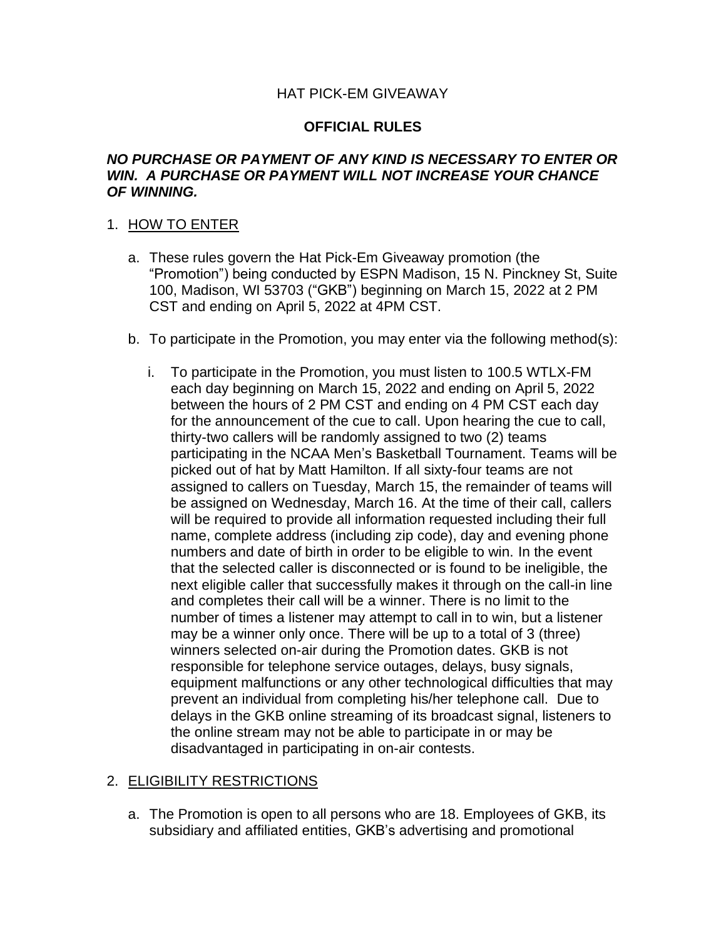## HAT PICK-EM GIVEAWAY

## **OFFICIAL RULES**

### *NO PURCHASE OR PAYMENT OF ANY KIND IS NECESSARY TO ENTER OR WIN. A PURCHASE OR PAYMENT WILL NOT INCREASE YOUR CHANCE OF WINNING.*

## 1. HOW TO ENTER

- a. These rules govern the Hat Pick-Em Giveaway promotion (the "Promotion") being conducted by ESPN Madison, 15 N. Pinckney St, Suite 100, Madison, WI 53703 ("GKB") beginning on March 15, 2022 at 2 PM CST and ending on April 5, 2022 at 4PM CST.
- b. To participate in the Promotion, you may enter via the following method(s):
	- i. To participate in the Promotion, you must listen to 100.5 WTLX-FM each day beginning on March 15, 2022 and ending on April 5, 2022 between the hours of 2 PM CST and ending on 4 PM CST each day for the announcement of the cue to call. Upon hearing the cue to call, thirty-two callers will be randomly assigned to two (2) teams participating in the NCAA Men's Basketball Tournament. Teams will be picked out of hat by Matt Hamilton. If all sixty-four teams are not assigned to callers on Tuesday, March 15, the remainder of teams will be assigned on Wednesday, March 16. At the time of their call, callers will be required to provide all information requested including their full name, complete address (including zip code), day and evening phone numbers and date of birth in order to be eligible to win. In the event that the selected caller is disconnected or is found to be ineligible, the next eligible caller that successfully makes it through on the call-in line and completes their call will be a winner. There is no limit to the number of times a listener may attempt to call in to win, but a listener may be a winner only once. There will be up to a total of 3 (three) winners selected on-air during the Promotion dates. GKB is not responsible for telephone service outages, delays, busy signals, equipment malfunctions or any other technological difficulties that may prevent an individual from completing his/her telephone call. Due to delays in the GKB online streaming of its broadcast signal, listeners to the online stream may not be able to participate in or may be disadvantaged in participating in on-air contests.

#### 2. ELIGIBILITY RESTRICTIONS

a. The Promotion is open to all persons who are 18. Employees of GKB, its subsidiary and affiliated entities, GKB's advertising and promotional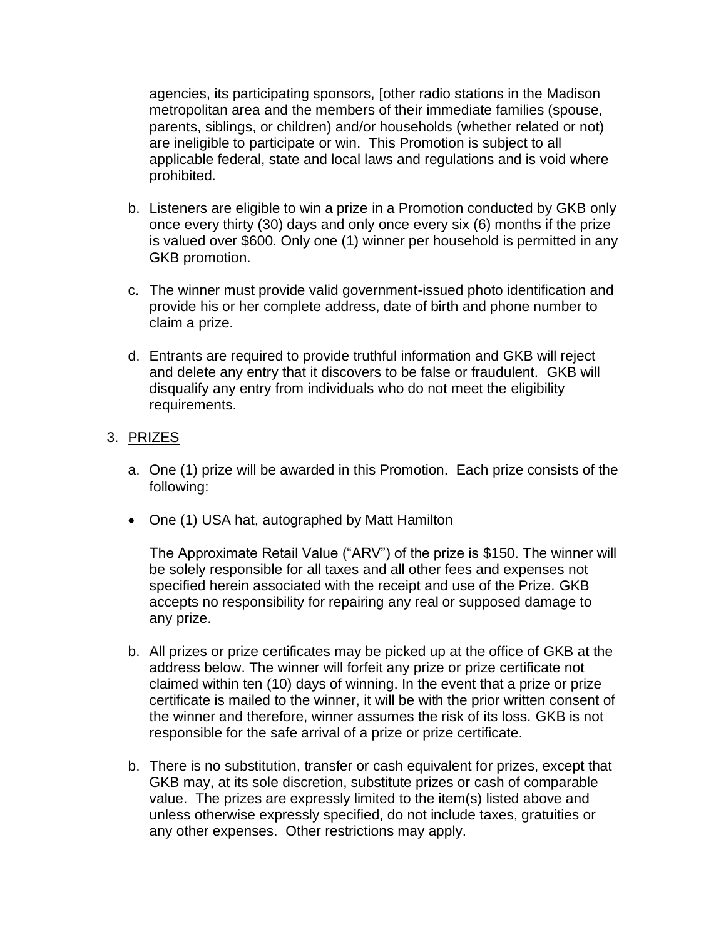agencies, its participating sponsors, [other radio stations in the Madison metropolitan area and the members of their immediate families (spouse, parents, siblings, or children) and/or households (whether related or not) are ineligible to participate or win. This Promotion is subject to all applicable federal, state and local laws and regulations and is void where prohibited.

- b. Listeners are eligible to win a prize in a Promotion conducted by GKB only once every thirty (30) days and only once every six (6) months if the prize is valued over \$600. Only one (1) winner per household is permitted in any GKB promotion.
- c. The winner must provide valid government-issued photo identification and provide his or her complete address, date of birth and phone number to claim a prize.
- d. Entrants are required to provide truthful information and GKB will reject and delete any entry that it discovers to be false or fraudulent. GKB will disqualify any entry from individuals who do not meet the eligibility requirements.

## 3. PRIZES

- a. One (1) prize will be awarded in this Promotion. Each prize consists of the following:
- One (1) USA hat, autographed by Matt Hamilton

The Approximate Retail Value ("ARV") of the prize is \$150. The winner will be solely responsible for all taxes and all other fees and expenses not specified herein associated with the receipt and use of the Prize. GKB accepts no responsibility for repairing any real or supposed damage to any prize.

- b. All prizes or prize certificates may be picked up at the office of GKB at the address below. The winner will forfeit any prize or prize certificate not claimed within ten (10) days of winning. In the event that a prize or prize certificate is mailed to the winner, it will be with the prior written consent of the winner and therefore, winner assumes the risk of its loss. GKB is not responsible for the safe arrival of a prize or prize certificate.
- b. There is no substitution, transfer or cash equivalent for prizes, except that GKB may, at its sole discretion, substitute prizes or cash of comparable value. The prizes are expressly limited to the item(s) listed above and unless otherwise expressly specified, do not include taxes, gratuities or any other expenses. Other restrictions may apply.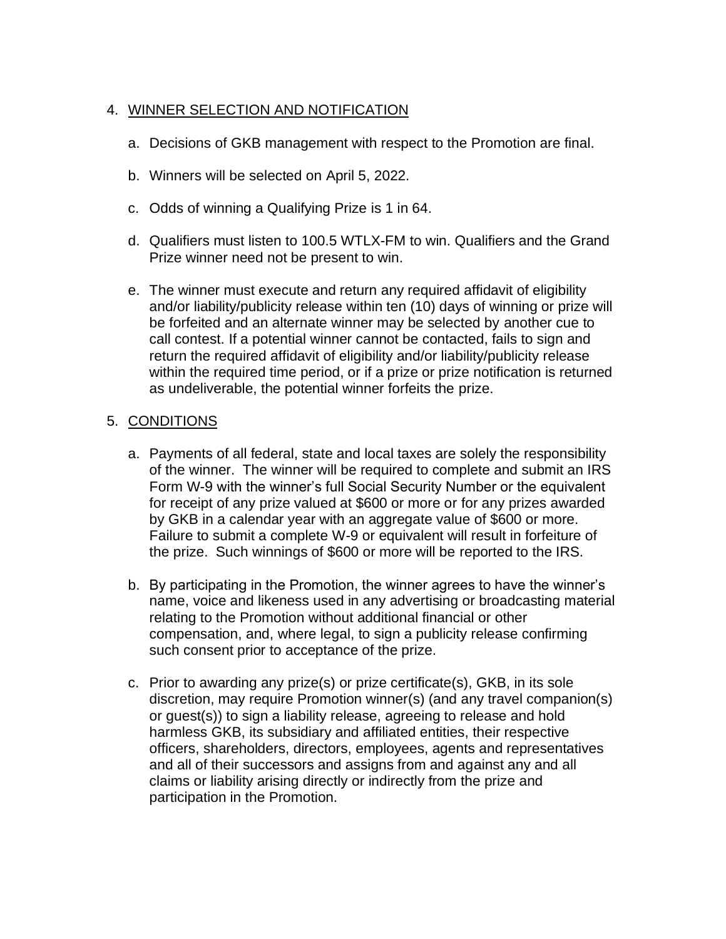# 4. WINNER SELECTION AND NOTIFICATION

- a. Decisions of GKB management with respect to the Promotion are final.
- b. Winners will be selected on April 5, 2022.
- c. Odds of winning a Qualifying Prize is 1 in 64.
- d. Qualifiers must listen to 100.5 WTLX-FM to win. Qualifiers and the Grand Prize winner need not be present to win.
- e. The winner must execute and return any required affidavit of eligibility and/or liability/publicity release within ten (10) days of winning or prize will be forfeited and an alternate winner may be selected by another cue to call contest. If a potential winner cannot be contacted, fails to sign and return the required affidavit of eligibility and/or liability/publicity release within the required time period, or if a prize or prize notification is returned as undeliverable, the potential winner forfeits the prize.

# 5. CONDITIONS

- a. Payments of all federal, state and local taxes are solely the responsibility of the winner. The winner will be required to complete and submit an IRS Form W-9 with the winner's full Social Security Number or the equivalent for receipt of any prize valued at \$600 or more or for any prizes awarded by GKB in a calendar year with an aggregate value of \$600 or more. Failure to submit a complete W-9 or equivalent will result in forfeiture of the prize. Such winnings of \$600 or more will be reported to the IRS.
- b. By participating in the Promotion, the winner agrees to have the winner's name, voice and likeness used in any advertising or broadcasting material relating to the Promotion without additional financial or other compensation, and, where legal, to sign a publicity release confirming such consent prior to acceptance of the prize.
- c. Prior to awarding any prize(s) or prize certificate(s), GKB, in its sole discretion, may require Promotion winner(s) (and any travel companion(s) or guest(s)) to sign a liability release, agreeing to release and hold harmless GKB, its subsidiary and affiliated entities, their respective officers, shareholders, directors, employees, agents and representatives and all of their successors and assigns from and against any and all claims or liability arising directly or indirectly from the prize and participation in the Promotion.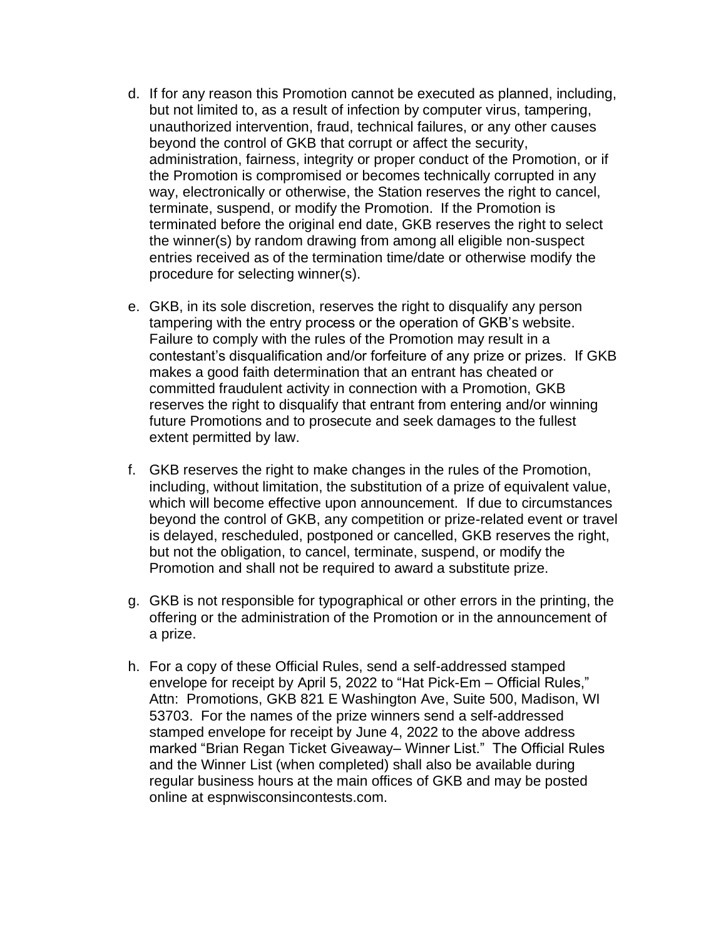- d. If for any reason this Promotion cannot be executed as planned, including, but not limited to, as a result of infection by computer virus, tampering, unauthorized intervention, fraud, technical failures, or any other causes beyond the control of GKB that corrupt or affect the security, administration, fairness, integrity or proper conduct of the Promotion, or if the Promotion is compromised or becomes technically corrupted in any way, electronically or otherwise, the Station reserves the right to cancel, terminate, suspend, or modify the Promotion. If the Promotion is terminated before the original end date, GKB reserves the right to select the winner(s) by random drawing from among all eligible non-suspect entries received as of the termination time/date or otherwise modify the procedure for selecting winner(s).
- e. GKB, in its sole discretion, reserves the right to disqualify any person tampering with the entry process or the operation of GKB's website. Failure to comply with the rules of the Promotion may result in a contestant's disqualification and/or forfeiture of any prize or prizes. If GKB makes a good faith determination that an entrant has cheated or committed fraudulent activity in connection with a Promotion, GKB reserves the right to disqualify that entrant from entering and/or winning future Promotions and to prosecute and seek damages to the fullest extent permitted by law.
- f. GKB reserves the right to make changes in the rules of the Promotion, including, without limitation, the substitution of a prize of equivalent value, which will become effective upon announcement. If due to circumstances beyond the control of GKB, any competition or prize-related event or travel is delayed, rescheduled, postponed or cancelled, GKB reserves the right, but not the obligation, to cancel, terminate, suspend, or modify the Promotion and shall not be required to award a substitute prize.
- g. GKB is not responsible for typographical or other errors in the printing, the offering or the administration of the Promotion or in the announcement of a prize.
- h. For a copy of these Official Rules, send a self-addressed stamped envelope for receipt by April 5, 2022 to "Hat Pick-Em – Official Rules," Attn: Promotions, GKB 821 E Washington Ave, Suite 500, Madison, WI 53703. For the names of the prize winners send a self-addressed stamped envelope for receipt by June 4, 2022 to the above address marked "Brian Regan Ticket Giveaway– Winner List." The Official Rules and the Winner List (when completed) shall also be available during regular business hours at the main offices of GKB and may be posted online at espnwisconsincontests.com.